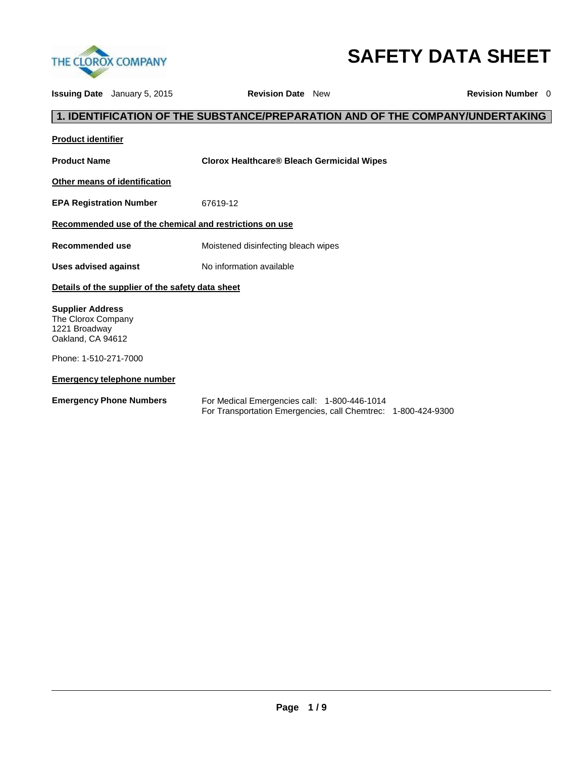

# **SAFETY DATA SHEET**

| <b>Issuing Date</b> January 5, 2015                                                 |                                                  | <b>Revision Date</b> New                                                                                      |  | <b>Revision Number</b> 0                                                      |
|-------------------------------------------------------------------------------------|--------------------------------------------------|---------------------------------------------------------------------------------------------------------------|--|-------------------------------------------------------------------------------|
|                                                                                     |                                                  |                                                                                                               |  | 1. IDENTIFICATION OF THE SUBSTANCE/PREPARATION AND OF THE COMPANY/UNDERTAKING |
| <b>Product identifier</b>                                                           |                                                  |                                                                                                               |  |                                                                               |
| <b>Product Name</b>                                                                 |                                                  | <b>Clorox Healthcare® Bleach Germicidal Wipes</b>                                                             |  |                                                                               |
| Other means of identification                                                       |                                                  |                                                                                                               |  |                                                                               |
| <b>EPA Registration Number</b>                                                      |                                                  | 67619-12                                                                                                      |  |                                                                               |
|                                                                                     |                                                  | Recommended use of the chemical and restrictions on use                                                       |  |                                                                               |
| <b>Recommended use</b>                                                              |                                                  | Moistened disinfecting bleach wipes                                                                           |  |                                                                               |
| Uses advised against                                                                |                                                  | No information available                                                                                      |  |                                                                               |
|                                                                                     | Details of the supplier of the safety data sheet |                                                                                                               |  |                                                                               |
| <b>Supplier Address</b><br>The Clorox Company<br>1221 Broadway<br>Oakland, CA 94612 |                                                  |                                                                                                               |  |                                                                               |
| Phone: 1-510-271-7000                                                               |                                                  |                                                                                                               |  |                                                                               |
| <b>Emergency telephone number</b>                                                   |                                                  |                                                                                                               |  |                                                                               |
| <b>Emergency Phone Numbers</b>                                                      |                                                  | For Medical Emergencies call: 1-800-446-1014<br>For Transportation Emergencies, call Chemtrec: 1-800-424-9300 |  |                                                                               |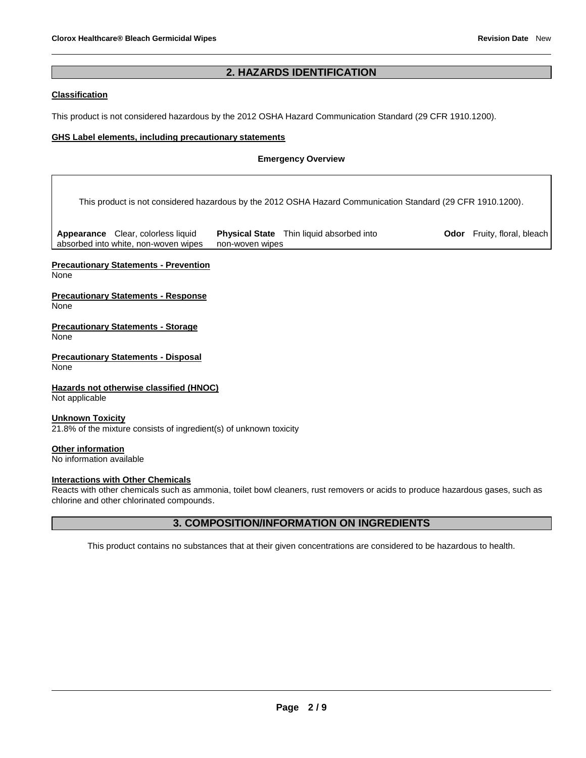#### **2. HAZARDS IDENTIFICATION**

#### **Classification**

This product is not considered hazardous by the 2012 OSHA Hazard Communication Standard (29 CFR 1910.1200).

#### **GHS Label elements, including precautionary statements**

#### **Emergency Overview**

This product is not considered hazardous by the 2012 OSHA Hazard Communication Standard (29 CFR 1910.1200).

**Appearance** Clear, colorless liquid absorbed into white, non-woven wipes

**Physical State** Thin liquid absorbed into non-woven wipes

**Odor** Fruity, floral, bleach

**Precautionary Statements - Prevention**

None

**Precautionary Statements - Response** None

**Precautionary Statements - Storage** None

**Precautionary Statements - Disposal** None

**Hazards not otherwise classified (HNOC)** Not applicable

**Unknown Toxicity** 21.8% of the mixture consists of ingredient(s) of unknown toxicity

**Other information** No information available

#### **Interactions with Other Chemicals**

Reacts with other chemicals such as ammonia, toilet bowl cleaners, rust removers or acids to produce hazardous gases, such as chlorine and other chlorinated compounds.

#### **3. COMPOSITION/INFORMATION ON INGREDIENTS**

This product contains no substances that at their given concentrations are considered to be hazardous to health.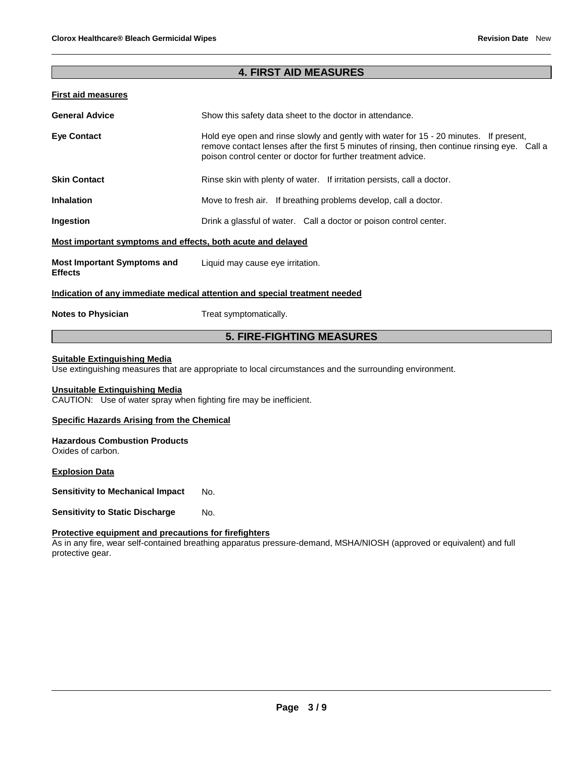#### **4. FIRST AID MEASURES**

#### **First aid measures**

| <b>General Advice</b>                                       | Show this safety data sheet to the doctor in attendance.                                                                                                                                                                                                |  |
|-------------------------------------------------------------|---------------------------------------------------------------------------------------------------------------------------------------------------------------------------------------------------------------------------------------------------------|--|
| <b>Eye Contact</b>                                          | Hold eye open and rinse slowly and gently with water for 15 - 20 minutes. If present,<br>remove contact lenses after the first 5 minutes of rinsing, then continue rinsing eye. Call a<br>poison control center or doctor for further treatment advice. |  |
| <b>Skin Contact</b>                                         | Rinse skin with plenty of water. If irritation persists, call a doctor.                                                                                                                                                                                 |  |
| <b>Inhalation</b>                                           | Move to fresh air. If breathing problems develop, call a doctor.                                                                                                                                                                                        |  |
| Ingestion                                                   | Drink a glassful of water. Call a doctor or poison control center.                                                                                                                                                                                      |  |
| Most important symptoms and effects, both acute and delayed |                                                                                                                                                                                                                                                         |  |
| <b>Most Important Symptoms and</b><br><b>Effects</b>        | Liquid may cause eye irritation.                                                                                                                                                                                                                        |  |
|                                                             | Indication of any immediate medical attention and special treatment needed                                                                                                                                                                              |  |
| <b>Notes to Physician</b>                                   | Treat symptomatically.                                                                                                                                                                                                                                  |  |

#### **5. FIRE-FIGHTING MEASURES**

#### **Suitable Extinguishing Media**

Use extinguishing measures that are appropriate to local circumstances and the surrounding environment.

#### **Unsuitable Extinguishing Media**

CAUTION: Use of water spray when fighting fire may be inefficient.

#### **Specific Hazards Arising from the Chemical**

#### **Hazardous Combustion Products** Oxides of carbon.

**Explosion Data**

**Sensitivity to Mechanical Impact No.** 

**Sensitivity to Static Discharge Mo.** 

#### **Protective equipment and precautions for firefighters**

As in any fire, wear self-contained breathing apparatus pressure-demand, MSHA/NIOSH (approved or equivalent) and full protective gear.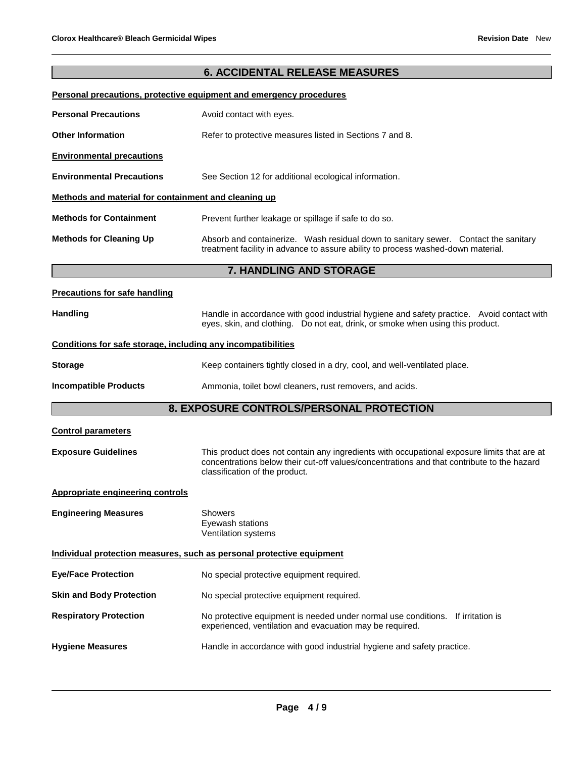### **6. ACCIDENTAL RELEASE MEASURES**

#### **Personal precautions, protective equipment and emergency procedures**

| <b>Personal Precautions</b>                          | Avoid contact with eyes.                                                                                                                                                    |  |  |
|------------------------------------------------------|-----------------------------------------------------------------------------------------------------------------------------------------------------------------------------|--|--|
| <b>Other Information</b>                             | Refer to protective measures listed in Sections 7 and 8.                                                                                                                    |  |  |
| <b>Environmental precautions</b>                     |                                                                                                                                                                             |  |  |
| <b>Environmental Precautions</b>                     | See Section 12 for additional ecological information.                                                                                                                       |  |  |
| Methods and material for containment and cleaning up |                                                                                                                                                                             |  |  |
| <b>Methods for Containment</b>                       | Prevent further leakage or spillage if safe to do so.                                                                                                                       |  |  |
| <b>Methods for Cleaning Up</b>                       | Absorb and containerize. Wash residual down to sanitary sewer. Contact the sanitary<br>treatment facility in advance to assure ability to process washed-down material.     |  |  |
|                                                      | 7. HANDLING AND STORAGE                                                                                                                                                     |  |  |
| <b>Precautions for safe handling</b>                 |                                                                                                                                                                             |  |  |
| <b>Handling</b>                                      | Handle in accordance with good industrial hygiene and safety practice. Avoid contact with<br>eyes, skin, and clothing. Do not eat, drink, or smoke when using this product. |  |  |

#### **Conditions for safe storage, including any incompatibilities**

| Storage | Keep containers tightly closed in a dry, cool, and well-ventilated place. |
|---------|---------------------------------------------------------------------------|
|         |                                                                           |

#### **Incompatible Products Ammonia, toilet bowl cleaners, rust removers, and acids.**

#### **8. EXPOSURE CONTROLS/PERSONAL PROTECTION**

| <b>Control parameters</b>               |                                                                                                                                                                                                                             |
|-----------------------------------------|-----------------------------------------------------------------------------------------------------------------------------------------------------------------------------------------------------------------------------|
| <b>Exposure Guidelines</b>              | This product does not contain any ingredients with occupational exposure limits that are at<br>concentrations below their cut-off values/concentrations and that contribute to the hazard<br>classification of the product. |
| <b>Appropriate engineering controls</b> |                                                                                                                                                                                                                             |
| <b>Engineering Measures</b>             | Showers<br>Eyewash stations<br><b>Ventilation systems</b>                                                                                                                                                                   |
|                                         | Individual protection measures, such as personal protective equipment                                                                                                                                                       |
| <b>Eye/Face Protection</b>              | No special protective equipment required.                                                                                                                                                                                   |
| <b>Skin and Body Protection</b>         | No special protective equipment required.                                                                                                                                                                                   |
| <b>Respiratory Protection</b>           | No protective equipment is needed under normal use conditions.<br>If irritation is<br>experienced, ventilation and evacuation may be required.                                                                              |
| <b>Hygiene Measures</b>                 | Handle in accordance with good industrial hygiene and safety practice.                                                                                                                                                      |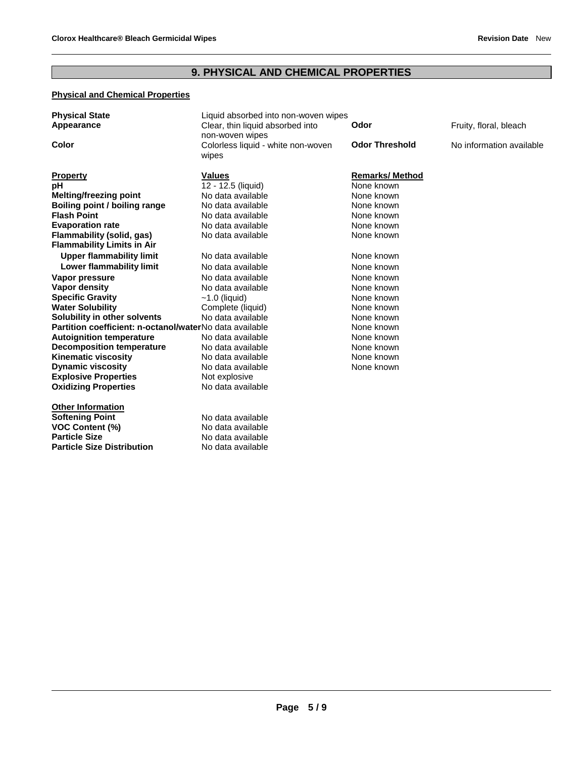## **9. PHYSICAL AND CHEMICAL PROPERTIES**

#### **Physical and Chemical Properties**

| <b>Physical State</b><br>Appearance                            | Liquid absorbed into non-woven wipes<br>Clear, thin liquid absorbed into<br>non-woven wipes | Odor                  | Fruity, floral, bleach   |
|----------------------------------------------------------------|---------------------------------------------------------------------------------------------|-----------------------|--------------------------|
| Color                                                          | Colorless liquid - white non-woven<br>wipes                                                 | <b>Odor Threshold</b> | No information available |
| <b>Property</b>                                                | <b>Values</b>                                                                               | <b>Remarks/Method</b> |                          |
| pН                                                             | 12 - 12.5 (liquid)                                                                          | None known            |                          |
| <b>Melting/freezing point</b>                                  | No data available                                                                           | None known            |                          |
| Boiling point / boiling range                                  | No data available                                                                           | None known            |                          |
| <b>Flash Point</b>                                             | No data available                                                                           | None known            |                          |
| <b>Evaporation rate</b>                                        | No data available                                                                           | None known            |                          |
| Flammability (solid, gas)<br><b>Flammability Limits in Air</b> | No data available                                                                           | None known            |                          |
| <b>Upper flammability limit</b>                                | No data available                                                                           | None known            |                          |
| Lower flammability limit                                       | No data available                                                                           | None known            |                          |
| Vapor pressure                                                 | No data available                                                                           | None known            |                          |
| Vapor density                                                  | No data available                                                                           | None known            |                          |
| <b>Specific Gravity</b>                                        | $~1.0$ (liquid)                                                                             | None known            |                          |
| <b>Water Solubility</b>                                        | Complete (liquid)                                                                           | None known            |                          |
| Solubility in other solvents                                   | No data available                                                                           | None known            |                          |
| Partition coefficient: n-octanol/waterNo data available        |                                                                                             | None known            |                          |
| <b>Autoignition temperature</b>                                | No data available                                                                           | None known            |                          |
| <b>Decomposition temperature</b>                               | No data available                                                                           | None known            |                          |
| <b>Kinematic viscosity</b>                                     | No data available                                                                           | None known            |                          |
| <b>Dynamic viscosity</b>                                       | No data available                                                                           | None known            |                          |
| <b>Explosive Properties</b>                                    | Not explosive                                                                               |                       |                          |
| <b>Oxidizing Properties</b>                                    | No data available                                                                           |                       |                          |
| <b>Other Information</b>                                       |                                                                                             |                       |                          |
| <b>Softening Point</b>                                         | No data available                                                                           |                       |                          |
| <b>VOC Content (%)</b>                                         | No data available                                                                           |                       |                          |
| <b>Particle Size</b>                                           | No data available                                                                           |                       |                          |
| <b>Particle Size Distribution</b>                              | No data available                                                                           |                       |                          |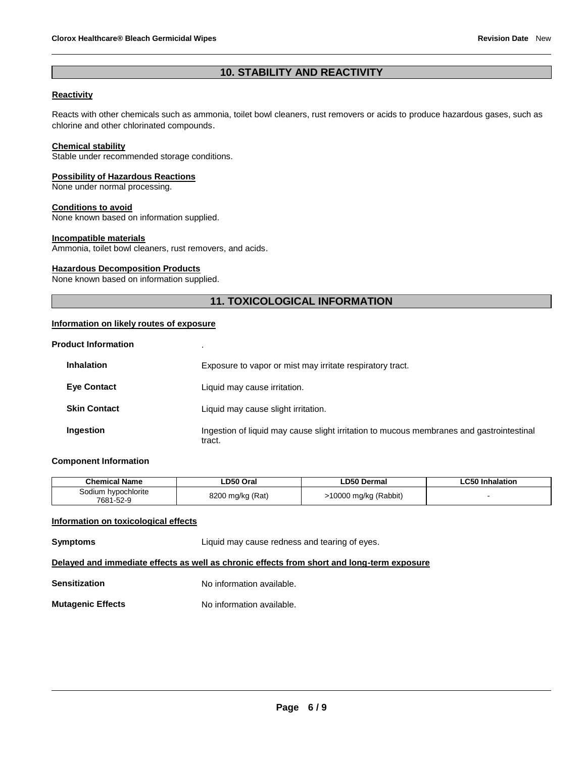#### **10. STABILITY AND REACTIVITY**

#### **Reactivity**

Reacts with other chemicals such as ammonia, toilet bowl cleaners, rust removers or acids to produce hazardous gases, such as chlorine and other chlorinated compounds.

#### **Chemical stability**

Stable under recommended storage conditions.

#### **Possibility of Hazardous Reactions**

None under normal processing.

#### **Conditions to avoid**

None known based on information supplied.

#### **Incompatible materials**

Ammonia, toilet bowl cleaners, rust removers, and acids.

#### **Hazardous Decomposition Products**

None known based on information supplied.

#### **11. TOXICOLOGICAL INFORMATION**

#### **Information on likely routes of exposure**

| <b>Product Information</b> |  |
|----------------------------|--|
|                            |  |

| <b>Inhalation</b>   | Exposure to vapor or mist may irritate respiratory tract.                                          |
|---------------------|----------------------------------------------------------------------------------------------------|
| <b>Eye Contact</b>  | Liquid may cause irritation.                                                                       |
| <b>Skin Contact</b> | Liquid may cause slight irritation.                                                                |
| Ingestion           | Ingestion of liquid may cause slight irritation to mucous membranes and gastrointestinal<br>tract. |

#### **Component Information**

| <b>Chemical Name</b>             | ∟D50 Oral        | ∟D50 Dermal           | ∟C50 Inhalation |
|----------------------------------|------------------|-----------------------|-----------------|
| Sodium hypochlorite<br>7681-52-9 | 8200 mg/kg (Rat) | >10000 mg/kg (Rabbit) |                 |

#### **Information on toxicological effects**

| Symptoms      | Liquid may cause redness and tearing of eyes.                                              |
|---------------|--------------------------------------------------------------------------------------------|
|               | Delayed and immediate effects as well as chronic effects from short and long-term exposure |
| Sensitization | No information available.                                                                  |

**Mutagenic Effects** No information available.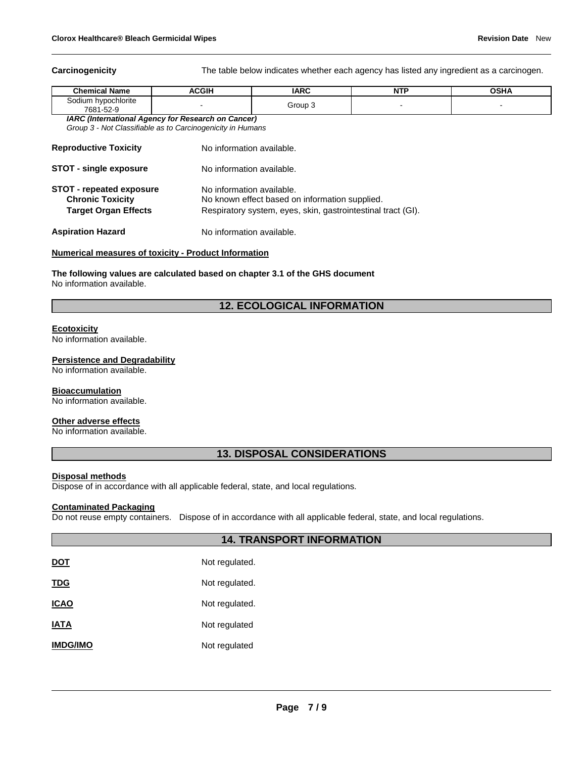**Carcinogenicity** The table below indicates whether each agency has listed any ingredient as a carcinogen.

| <b>Chemical Name</b>                | <b>ACGIH</b> | <b>IARC</b> | NTP | DSHA |
|-------------------------------------|--------------|-------------|-----|------|
| hypochlorite<br>sodium<br>7681-52-9 |              | Group 3     |     |      |

*IARC (International Agency for Research on Cancer) Group 3 - Not Classifiable as to Carcinogenicity in Humans* 

| <b>Reproductive Toxicity</b>                                                              | No information available.                                                                                                                   |
|-------------------------------------------------------------------------------------------|---------------------------------------------------------------------------------------------------------------------------------------------|
| <b>STOT - single exposure</b>                                                             | No information available.                                                                                                                   |
| <b>STOT - repeated exposure</b><br><b>Chronic Toxicity</b><br><b>Target Organ Effects</b> | No information available.<br>No known effect based on information supplied.<br>Respiratory system, eyes, skin, gastrointestinal tract (GI). |
| <b>Aspiration Hazard</b>                                                                  | No information available.                                                                                                                   |

#### **Numerical measures of toxicity - Product Information**

**The following values are calculated based on chapter 3.1 of the GHS document** No information available.

#### **12. ECOLOGICAL INFORMATION**

#### **Ecotoxicity**

No information available.

#### **Persistence and Degradability**

No information available.

#### **Bioaccumulation**

No information available.

#### **Other adverse effects**

No information available.

#### **13. DISPOSAL CONSIDERATIONS**

#### **Disposal methods**

Dispose of in accordance with all applicable federal, state, and local regulations.

#### **Contaminated Packaging**

Do not reuse empty containers. Dispose of in accordance with all applicable federal, state, and local regulations.

#### **14. TRANSPORT INFORMATION**

| <u>DOT</u>      | Not regulated. |
|-----------------|----------------|
| <u>TDG</u>      | Not regulated. |
| ICAO            | Not regulated. |
| IATA            | Not regulated  |
| <b>IMDG/IMO</b> | Not regulated  |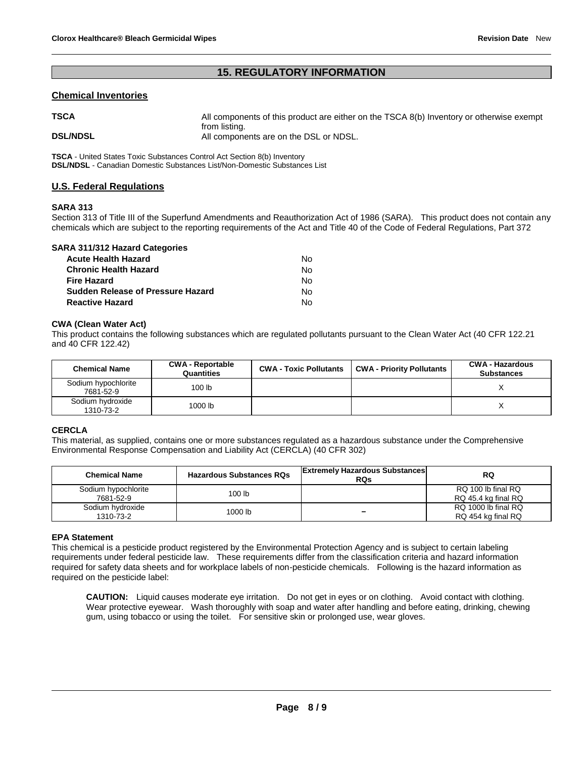#### **15. REGULATORY INFORMATION**

#### **Chemical Inventories**

| <b>TSCA</b>     | All components of this product are either on the TSCA 8(b) Inventory or otherwise exempt |
|-----------------|------------------------------------------------------------------------------------------|
| <b>DSL/NDSL</b> | from listing.<br>All components are on the DSL or NDSL.                                  |

**TSCA** - United States Toxic Substances Control Act Section 8(b) Inventory **DSL/NDSL** - Canadian Domestic Substances List/Non-Domestic Substances List

#### **U.S. Federal Regulations**

#### **SARA 313**

Section 313 of Title III of the Superfund Amendments and Reauthorization Act of 1986 (SARA). This product does not contain any chemicals which are subject to the reporting requirements of the Act and Title 40 of the Code of Federal Regulations, Part 372

| <b>SARA 311/312 Hazard Categories</b> |    |
|---------------------------------------|----|
| <b>Acute Health Hazard</b>            | N٥ |
| <b>Chronic Health Hazard</b>          | N٥ |
| <b>Fire Hazard</b>                    | N٥ |
| Sudden Release of Pressure Hazard     | N٥ |
| <b>Reactive Hazard</b>                | N٥ |

#### **CWA (Clean Water Act)**

This product contains the following substances which are regulated pollutants pursuant to the Clean Water Act (40 CFR 122.21 and 40 CFR 122.42)

| <b>Chemical Name</b>             | <b>CWA - Reportable</b><br>Quantities | <b>CWA - Toxic Pollutants</b> | <b>CWA - Priority Pollutants</b> | <b>CWA - Hazardous</b><br><b>Substances</b> |
|----------------------------------|---------------------------------------|-------------------------------|----------------------------------|---------------------------------------------|
| Sodium hypochlorite<br>7681-52-9 | 100 <sub>lb</sub>                     |                               |                                  |                                             |
| Sodium hydroxide<br>1310-73-2    | 1000 lb                               |                               |                                  |                                             |

#### **CERCLA**

This material, as supplied, contains one or more substances regulated as a hazardous substance under the Comprehensive Environmental Response Compensation and Liability Act (CERCLA) (40 CFR 302)

| <b>Chemical Name</b>             | <b>Hazardous Substances RQs</b> | <b>Extremely Hazardous Substances</b><br><b>RQs</b> | <b>RQ</b>                                 |
|----------------------------------|---------------------------------|-----------------------------------------------------|-------------------------------------------|
| Sodium hypochlorite<br>7681-52-9 | 100 lb                          |                                                     | RQ 100 lb final RQ<br>RQ 45.4 kg final RQ |
| Sodium hydroxide<br>1310-73-2    | 1000 lb                         | -                                                   | RQ 1000 lb final RQ<br>RQ 454 kg final RQ |

#### **EPA Statement**

This chemical is a pesticide product registered by the Environmental Protection Agency and is subject to certain labeling requirements under federal pesticide law. These requirements differ from the classification criteria and hazard information required for safety data sheets and for workplace labels of non-pesticide chemicals. Following is the hazard information as required on the pesticide label:

**CAUTION:** Liquid causes moderate eye irritation. Do not get in eyes or on clothing. Avoid contact with clothing. Wear protective eyewear. Wash thoroughly with soap and water after handling and before eating, drinking, chewing gum, using tobacco or using the toilet. For sensitive skin or prolonged use, wear gloves.